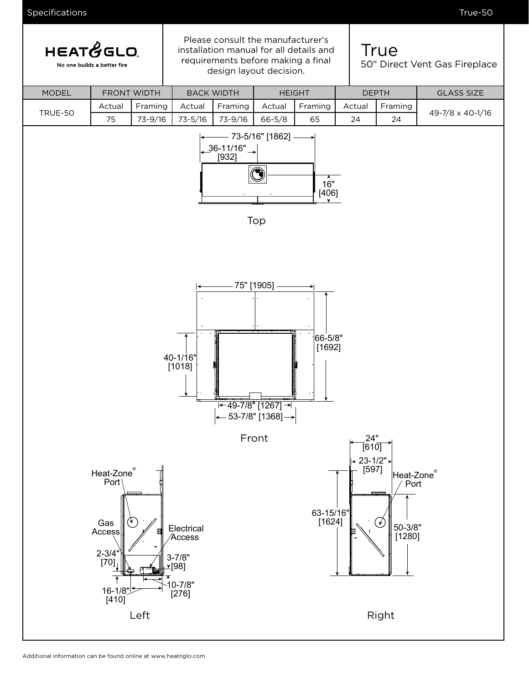